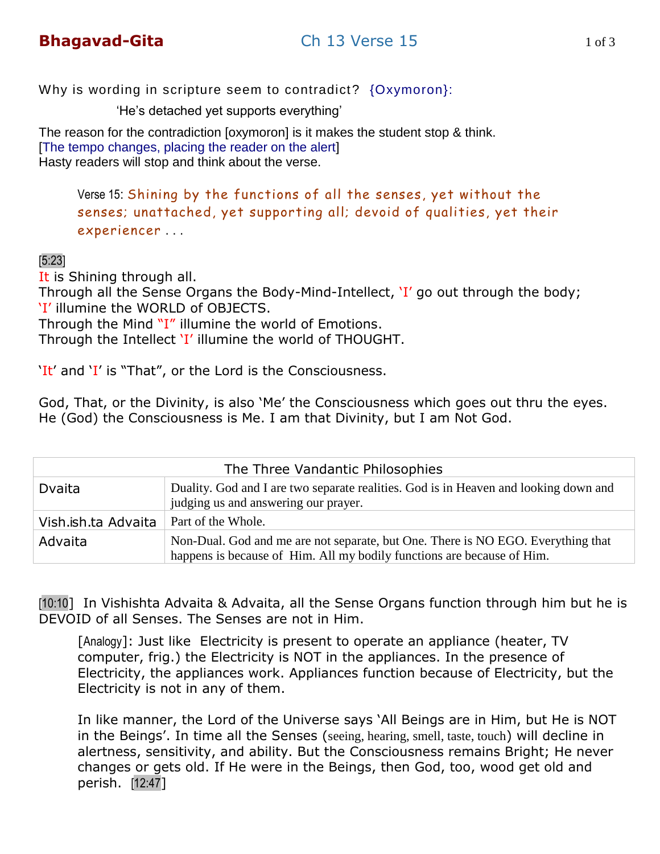# **Bhagavad-Gita** [Ch 13 Verse 15](http://www.firstpower.info/lessons_ch13/gita_ch13_verse15.mp3) 1 of 3

Why is wording in scripture seem to contradict? {Oxymoron}:

'He's detached yet supports everything'

The reason for the contradiction [oxymoron] is it makes the student stop & think. [The tempo changes, placing the reader on the alert] Hasty readers will stop and think about the verse.

Verse 15: Shining by the functions of all the senses, yet without the senses; unattached, yet supporting all; devoid of qualities, yet their experiencer . . .

#### [5:23]

It is Shining through all.

Through all the Sense Organs the Body-Mind-Intellect, 'I' go out through the body; 'I' illumine the WORLD of OBJECTS.

Through the Mind "I" illumine the world of Emotions.

Through the Intellect 'I' illumine the world of THOUGHT.

'It' and 'I' is "That", or the Lord is the Consciousness.

God, That, or the Divinity, is also "Me" the Consciousness which goes out thru the eyes. He (God) the Consciousness is Me. I am that Divinity, but I am Not God.

| The Three Vandantic Philosophies |                                                                                                                                                            |
|----------------------------------|------------------------------------------------------------------------------------------------------------------------------------------------------------|
| Dvaita                           | Duality. God and I are two separate realities. God is in Heaven and looking down and<br>judging us and answering our prayer.                               |
| Vish.ish.ta Advaita              | Part of the Whole.                                                                                                                                         |
| Advaita                          | Non-Dual. God and me are not separate, but One. There is NO EGO. Everything that<br>happens is because of Him. All my bodily functions are because of Him. |

[10:10] In Vishishta Advaita & Advaita, all the Sense Organs function through him but he is DEVOID of all Senses. The Senses are not in Him.

[Analogy]: Just like Electricity is present to operate an appliance (heater, TV computer, frig.) the Electricity is NOT in the appliances. In the presence of Electricity, the appliances work. Appliances function because of Electricity, but the Electricity is not in any of them.

In like manner, the Lord of the Universe says "All Beings are in Him, but He is NOT in the Beings'. In time all the Senses (seeing, hearing, smell, taste, touch) will decline in alertness, sensitivity, and ability. But the Consciousness remains Bright; He never changes or gets old. If He were in the Beings, then God, too, wood get old and perish. [12:47]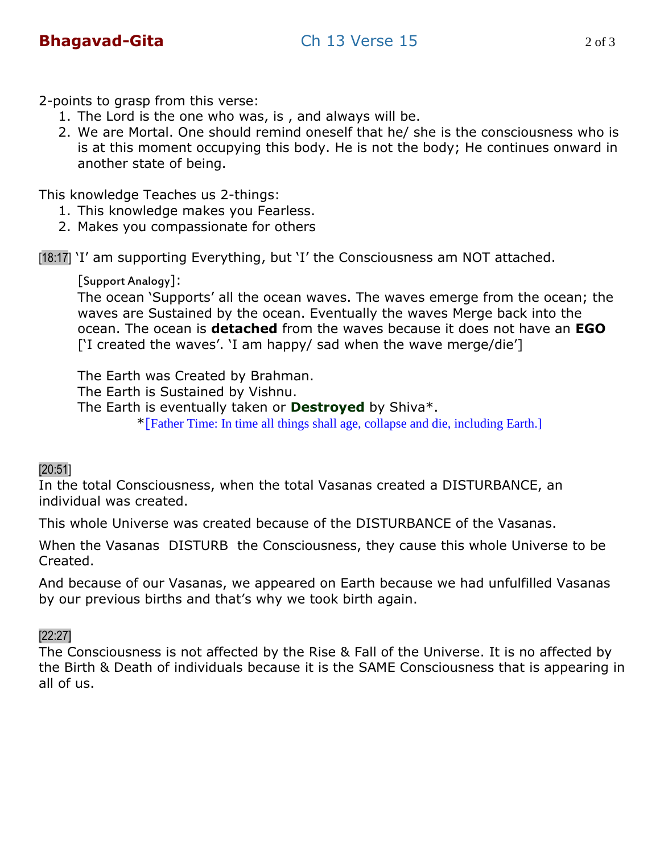2-points to grasp from this verse:

- 1. The Lord is the one who was, is , and always will be.
- 2. We are Mortal. One should remind oneself that he/ she is the consciousness who is is at this moment occupying this body. He is not the body; He continues onward in another state of being.

This knowledge Teaches us 2-things:

- 1. This knowledge makes you Fearless.
- 2. Makes you compassionate for others

[18:17] 'I' am supporting Everything, but 'I' the Consciousness am NOT attached.

[Support Analogy]:

The ocean "Supports" all the ocean waves. The waves emerge from the ocean; the waves are Sustained by the ocean. Eventually the waves Merge back into the ocean. The ocean is **detached** from the waves because it does not have an **EGO** ['I created the waves'. 'I am happy/ sad when the wave merge/die']

The Earth was Created by Brahman.

The Earth is Sustained by Vishnu.

The Earth is eventually taken or **Destroyed** by Shiva\*.

\*[Father Time: In time all things shall age, collapse and die, including Earth.]

# [20:51]

In the total Consciousness, when the total Vasanas created a DISTURBANCE, an individual was created.

This whole Universe was created because of the DISTURBANCE of the Vasanas.

When the Vasanas DISTURB the Consciousness, they cause this whole Universe to be Created.

And because of our Vasanas, we appeared on Earth because we had unfulfilled Vasanas by our previous births and that's why we took birth again.

# [22:27]

The Consciousness is not affected by the Rise & Fall of the Universe. It is no affected by the Birth & Death of individuals because it is the SAME Consciousness that is appearing in all of us.